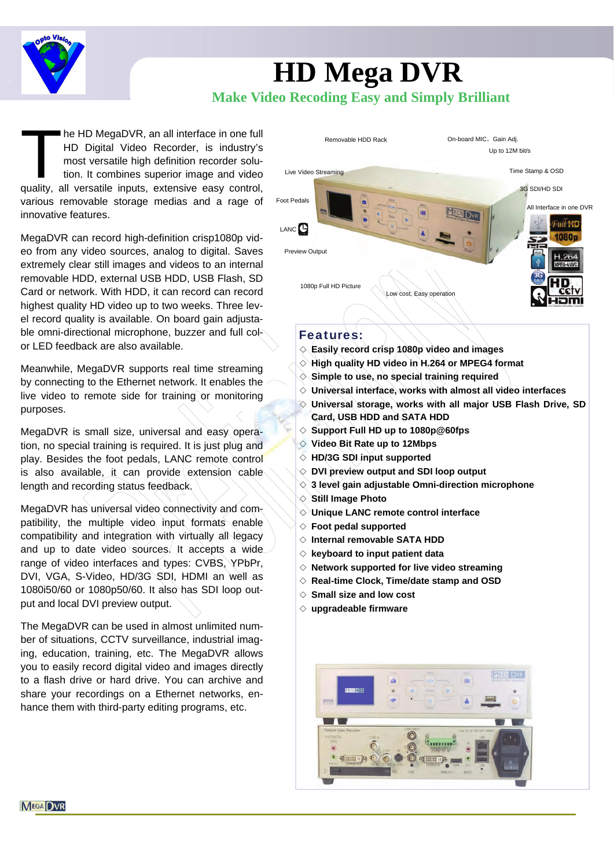

# **HD Mega DVR Make Video Recoding Easy and Simply Brilliant**

The HD MegaDVR, an all interface in one full<br>HD Digital Video Recorder, is industry's<br>most versatile high definition recorder solu-<br>tion. It combines superior image and video<br>quality, all versatile inputs, extensive easy c HD Digital Video Recorder, is industry's most versatile high definition recorder solution. It combines superior image and video quality, all versatile inputs, extensive easy control, various removable storage medias and a rage of innovative features.

MegaDVR can record high-definition crisp1080p video from any video sources, analog to digital. Saves extremely clear still images and videos to an internal removable HDD, external USB HDD, USB Flash, SD Card or network. With HDD, it can record can record highest quality HD video up to two weeks. Three level record quality is available. On board gain adjustable omni-directional microphone, buzzer and full color LED feedback are also available.

Meanwhile, MegaDVR supports real time streaming by connecting to the Ethernet network. It enables the live video to remote side for training or monitoring purposes.

MegaDVR is small size, universal and easy operation, no special training is required. It is just plug and play. Besides the foot pedals, LANC remote control is also available, it can provide extension cable length and recording status feedback.

MegaDVR has universal video connectivity and compatibility, the multiple video input formats enable compatibility and integration with virtually all legacy and up to date video sources. It accepts a wide range of video interfaces and types: CVBS, YPbPr, DVI, VGA, S-Video, HD/3G SDI, HDMI an well as 1080i50/60 or 1080p50/60. It also has SDI loop output and local DVI preview output.

The MegaDVR can be used in almost unlimited number of situations, CCTV surveillance, industrial imaging, education, training, etc. The MegaDVR allows you to easily record digital video and images directly to a flash drive or hard drive. You can archive and share your recordings on a Ethernet networks, enhance them with third-party editing programs, etc.



# Features:

- ◇ **Easily record crisp 1080p video and images**
- ◇ **High quality HD video in H.264 or MPEG4 format**
- ◇ **Simple to use, no special training required**
- ◇ **Universal interface, works with almost all video interfaces**
- ◇ **Universal storage, works with all major USB Flash Drive, SD Card, USB HDD and SATA HDD**
- ◇ **Support Full HD up to 1080p@60fps**
- ◇ **Video Bit Rate up to 12Mbps**
- ◇ **HD/3G SDI input supported**
- ◇ **DVI preview output and SDI loop output**
- ◇ **3 level gain adjustable Omni-direction microphone**
- ◇ **Still Image Photo**
- ◇ **Unique LANC remote control interface**
- ◇ **Foot pedal supported**
- ◇ **Internal removable SATA HDD**
- ◇ **keyboard to input patient data**
- ◇ **Network supported for live video streaming**
- ◇ **Real-time Clock, Time/date stamp and OSD**
- ◇ **Small size and low cost**
- ◇ **upgradeable firmware**